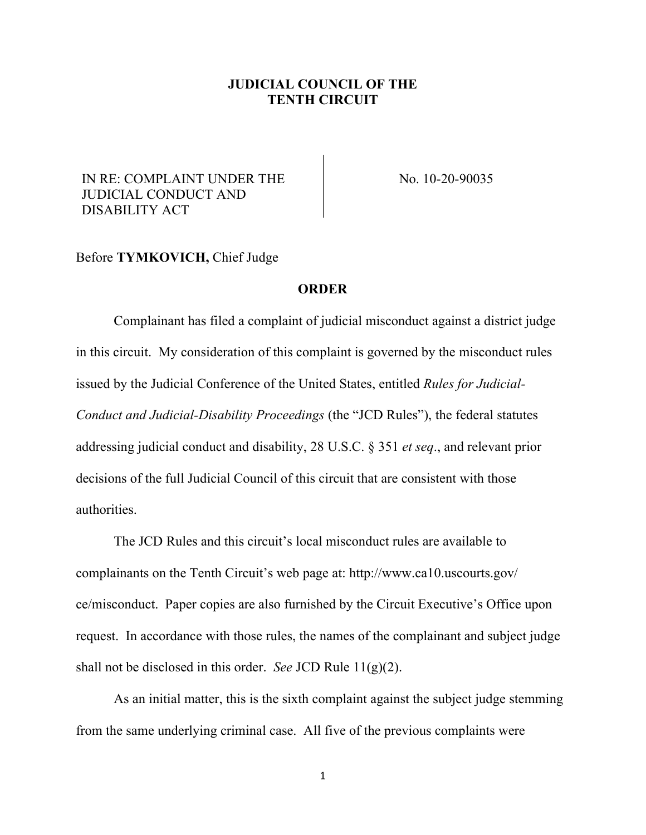## **JUDICIAL COUNCIL OF THE TENTH CIRCUIT**

## IN RE: COMPLAINT UNDER THE JUDICIAL CONDUCT AND DISABILITY ACT

No. 10-20-90035

## Before **TYMKOVICH,** Chief Judge

## **ORDER**

Complainant has filed a complaint of judicial misconduct against a district judge in this circuit. My consideration of this complaint is governed by the misconduct rules issued by the Judicial Conference of the United States, entitled *Rules for Judicial-Conduct and Judicial-Disability Proceedings* (the "JCD Rules"), the federal statutes addressing judicial conduct and disability, 28 U.S.C. § 351 *et seq*., and relevant prior decisions of the full Judicial Council of this circuit that are consistent with those authorities.

The JCD Rules and this circuit's local misconduct rules are available to complainants on the Tenth Circuit's web page at: http://www.ca10.uscourts.gov/ ce/misconduct. Paper copies are also furnished by the Circuit Executive's Office upon request. In accordance with those rules, the names of the complainant and subject judge shall not be disclosed in this order. *See* JCD Rule 11(g)(2).

As an initial matter, this is the sixth complaint against the subject judge stemming from the same underlying criminal case. All five of the previous complaints were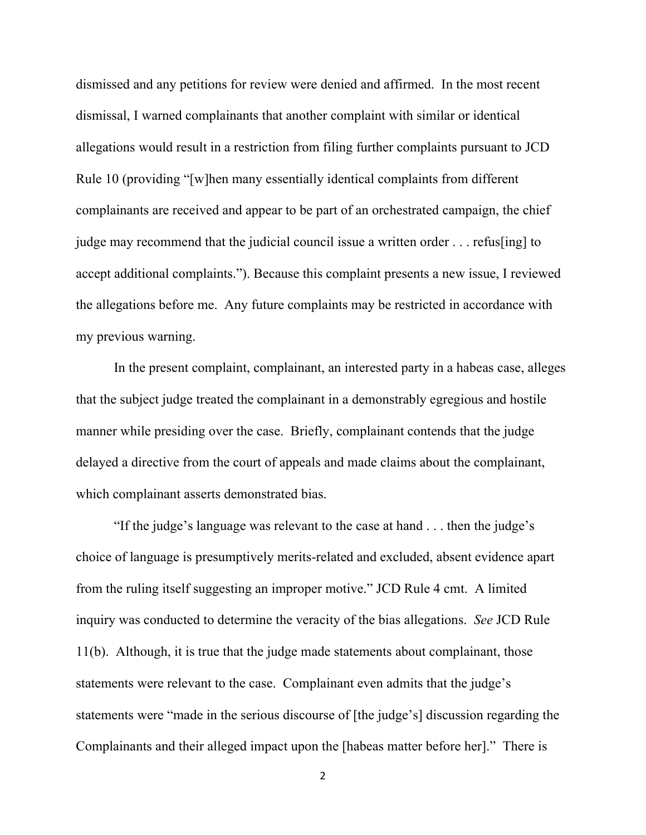dismissed and any petitions for review were denied and affirmed. In the most recent dismissal, I warned complainants that another complaint with similar or identical allegations would result in a restriction from filing further complaints pursuant to JCD Rule 10 (providing "[w]hen many essentially identical complaints from different complainants are received and appear to be part of an orchestrated campaign, the chief judge may recommend that the judicial council issue a written order . . . refus[ing] to accept additional complaints."). Because this complaint presents a new issue, I reviewed the allegations before me. Any future complaints may be restricted in accordance with my previous warning.

In the present complaint, complainant, an interested party in a habeas case, alleges that the subject judge treated the complainant in a demonstrably egregious and hostile manner while presiding over the case. Briefly, complainant contends that the judge delayed a directive from the court of appeals and made claims about the complainant, which complainant asserts demonstrated bias.

"If the judge's language was relevant to the case at hand . . . then the judge's choice of language is presumptively merits-related and excluded, absent evidence apart from the ruling itself suggesting an improper motive." JCD Rule 4 cmt. A limited inquiry was conducted to determine the veracity of the bias allegations. *See* JCD Rule 11(b). Although, it is true that the judge made statements about complainant, those statements were relevant to the case. Complainant even admits that the judge's statements were "made in the serious discourse of [the judge's] discussion regarding the Complainants and their alleged impact upon the [habeas matter before her]." There is

2